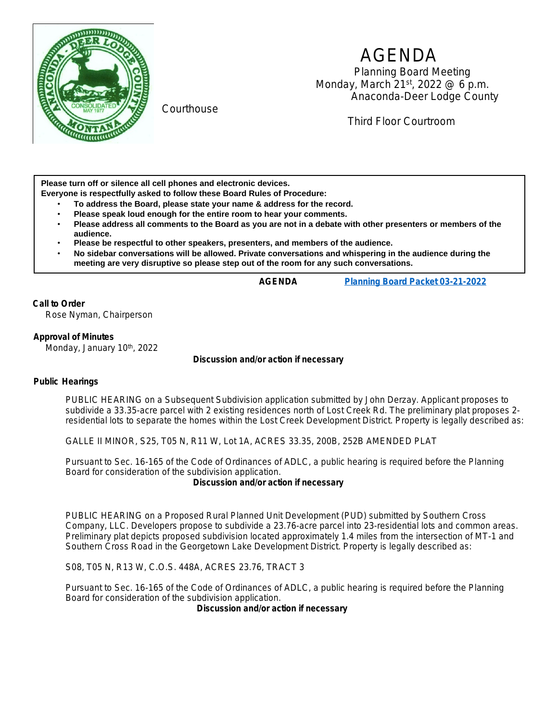

Courthouse

# AGENDA

 Planning Board Meeting Monday, March 21st, 2022 @ 6 p.m. Anaconda-Deer Lodge County

Third Floor Courtroom

**Please turn off or silence all cell phones and electronic devices.**

- **Everyone is respectfully asked to follow these Board Rules of Procedure:**
	- **To address the Board, please state your name & address for the record.**
	- **Please speak loud enough for the entire room to hear your comments.**
	- **Please address all comments to the Board as you are not in a debate with other presenters or members of the audience.**
	- **Please be respectful to other speakers, presenters, and members of the audience.**
	- **No sidebar conversations will be allowed. Private conversations and whispering in the audience during the meeting are very disruptive so please step out of the room for any such conversations.**

**AGENDA [Planning Board Packet 03-21-2022](https://adlc.us/DocumentCenter/View/2718/March-2022-packet-PDF)**

## **Call to Order**

Rose Nyman, Chairperson

### **Approval of Minutes**

Monday, January 10th, 2022

### *Discussion and/or action if necessary*

### **Public Hearings**

PUBLIC HEARING on a Subsequent Subdivision application submitted by John Derzay. Applicant proposes to subdivide a 33.35-acre parcel with 2 existing residences north of Lost Creek Rd. The preliminary plat proposes 2 residential lots to separate the homes within the Lost Creek Development District. Property is legally described as:

GALLE II MINOR, S25, T05 N, R11 W, Lot 1A, ACRES 33.35, 200B, 252B AMENDED PLAT

Pursuant to Sec. 16-165 of the Code of Ordinances of ADLC, a public hearing is required before the Planning Board for consideration of the subdivision application.

### *Discussion and/or action if necessary*

PUBLIC HEARING on a Proposed Rural Planned Unit Development (PUD) submitted by Southern Cross Company, LLC. Developers propose to subdivide a 23.76-acre parcel into 23-residential lots and common areas. Preliminary plat depicts proposed subdivision located approximately 1.4 miles from the intersection of MT-1 and Southern Cross Road in the Georgetown Lake Development District. Property is legally described as:

S08, T05 N, R13 W, C.O.S. 448A, ACRES 23.76, TRACT 3

Pursuant to Sec. 16-165 of the Code of Ordinances of ADLC, a public hearing is required before the Planning Board for consideration of the subdivision application.

*Discussion and/or action if necessary*